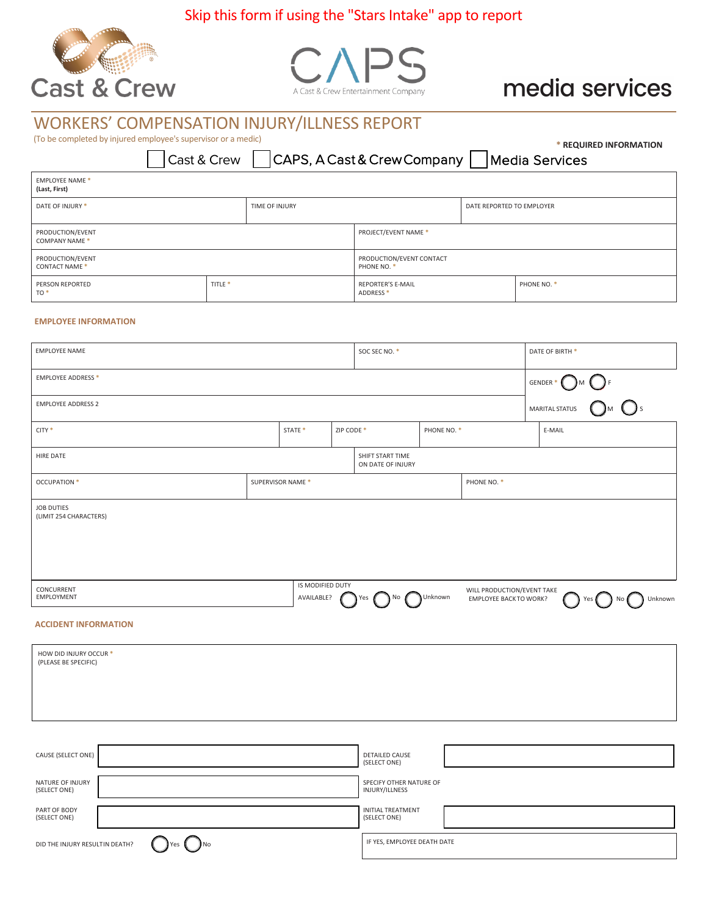## Skip this form if using the "Stars Intake" app to report





# media services

## WORKERS' COMPENSATION INJURY/ILLNESS REPORT

(To be completed by injured employee's supervisor or a medic)

Cast & Crew

CAPS, A Cast & Crew Company Media Services

**\* REQUIRED INFORMATION**

| <b>EMPLOYEE NAME*</b><br>(Last, First)   |                    |                      |                                                  |                           |             |  |
|------------------------------------------|--------------------|----------------------|--------------------------------------------------|---------------------------|-------------|--|
| DATE OF INJURY *<br>TIME OF INJURY       |                    |                      |                                                  | DATE REPORTED TO EMPLOYER |             |  |
| PRODUCTION/EVENT<br><b>COMPANY NAME*</b> |                    | PROJECT/EVENT NAME * |                                                  |                           |             |  |
| PRODUCTION/EVENT<br><b>CONTACT NAME*</b> |                    |                      | PRODUCTION/EVENT CONTACT<br>PHONE NO. *          |                           |             |  |
| PERSON REPORTED<br>TO <sup>*</sup>       | TITLE <sup>*</sup> |                      | <b>REPORTER'S E-MAIL</b><br>ADDRESS <sup>*</sup> |                           | PHONE NO. * |  |

#### **EMPLOYEE INFORMATION**

| <b>EMPLOYEE NAME</b>                        |                    |            | SOC SEC NO. *                                           |             |                                                            | DATE OF BIRTH * |     |                                                                 |
|---------------------------------------------|--------------------|------------|---------------------------------------------------------|-------------|------------------------------------------------------------|-----------------|-----|-----------------------------------------------------------------|
| <b>EMPLOYEE ADDRESS *</b>                   |                    |            |                                                         |             |                                                            |                 |     |                                                                 |
| <b>EMPLOYEE ADDRESS 2</b>                   |                    |            |                                                         |             |                                                            |                 |     | $GENDER * \bigodot M \bigodot F$<br>$TIS \bigodot M \bigodot S$ |
| CITY <sup>*</sup>                           | STATE <sup>*</sup> | ZIP CODE * |                                                         | PHONE NO. * |                                                            | E-MAIL          |     |                                                                 |
| HIRE DATE                                   |                    |            | SHIFT START TIME<br>ON DATE OF INJURY                   |             |                                                            |                 |     |                                                                 |
| OCCUPATION *                                | SUPERVISOR NAME *  |            |                                                         |             | PHONE NO. *                                                |                 |     |                                                                 |
| <b>JOB DUTIES</b><br>(LIMIT 254 CHARACTERS) |                    |            |                                                         |             |                                                            |                 |     |                                                                 |
|                                             |                    |            |                                                         |             |                                                            |                 |     |                                                                 |
|                                             |                    |            |                                                         |             |                                                            |                 |     |                                                                 |
| CONCURRENT<br><b>EMPLOYMENT</b>             | IS MODIFIED DUTY   |            | AVAILABLE? $\bigcap$ Yes $\bigcap$ No $\bigcap$ Unknown |             | WILL PRODUCTION/EVENT TAKE<br><b>EMPLOYEE BACKTO WORK?</b> |                 | Yes | Unknown                                                         |
|                                             |                    |            |                                                         |             |                                                            |                 |     |                                                                 |

#### **ACCIDENT INFORMATION**

(SELECT ONE)

DID THE INJURY RESULTIN DEATH?  $\left( \quad \right)$  Yes  $\left( \quad \right)$  No

| HOW DID INJURY OCCUR *<br>(PLEASE BE SPECIFIC) |                                           |
|------------------------------------------------|-------------------------------------------|
|                                                |                                           |
| CAUSE (SELECT ONE)                             | <b>DETAILED CAUSE</b><br>(SELECT ONE)     |
| NATURE OF INJURY<br>(SELECT ONE)               | SPECIFY OTHER NATURE OF<br>INJURY/ILLNESS |
| PART OF BODY                                   | INITIAL TREATMENT                         |

(SELECT ONE)

IF YES, EMPLOYEE DEATH DATE